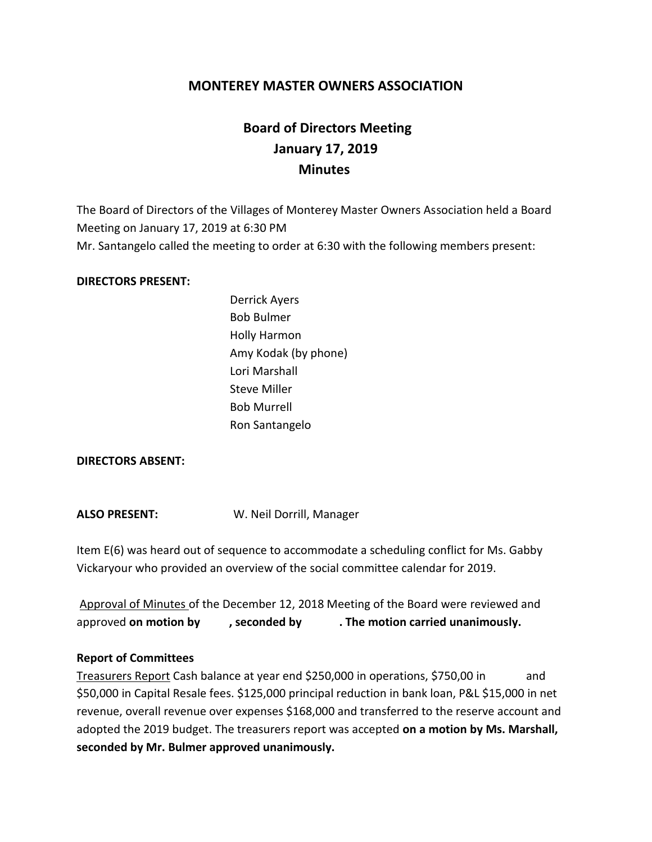# **MONTEREY MASTER OWNERS ASSOCIATION**

# **Board of Directors Meeting January 17, 2019 Minutes**

The Board of Directors of the Villages of Monterey Master Owners Association held a Board Meeting on January 17, 2019 at 6:30 PM Mr. Santangelo called the meeting to order at 6:30 with the following members present:

#### **DIRECTORS PRESENT:**

Derrick Ayers Bob Bulmer Holly Harmon Amy Kodak (by phone) Lori Marshall Steve Miller Bob Murrell Ron Santangelo

## **DIRECTORS ABSENT:**

**ALSO PRESENT:** W. Neil Dorrill, Manager

Item E(6) was heard out of sequence to accommodate a scheduling conflict for Ms. Gabby Vickaryour who provided an overview of the social committee calendar for 2019.

Approval of Minutes of the December 12, 2018 Meeting of the Board were reviewed and approved **on motion by , seconded by . The motion carried unanimously.**

## **Report of Committees**

Treasurers Report Cash balance at year end \$250,000 in operations, \$750,00 in and \$50,000 in Capital Resale fees. \$125,000 principal reduction in bank loan, P&L \$15,000 in net revenue, overall revenue over expenses \$168,000 and transferred to the reserve account and adopted the 2019 budget. The treasurers report was accepted **on a motion by Ms. Marshall, seconded by Mr. Bulmer approved unanimously.**